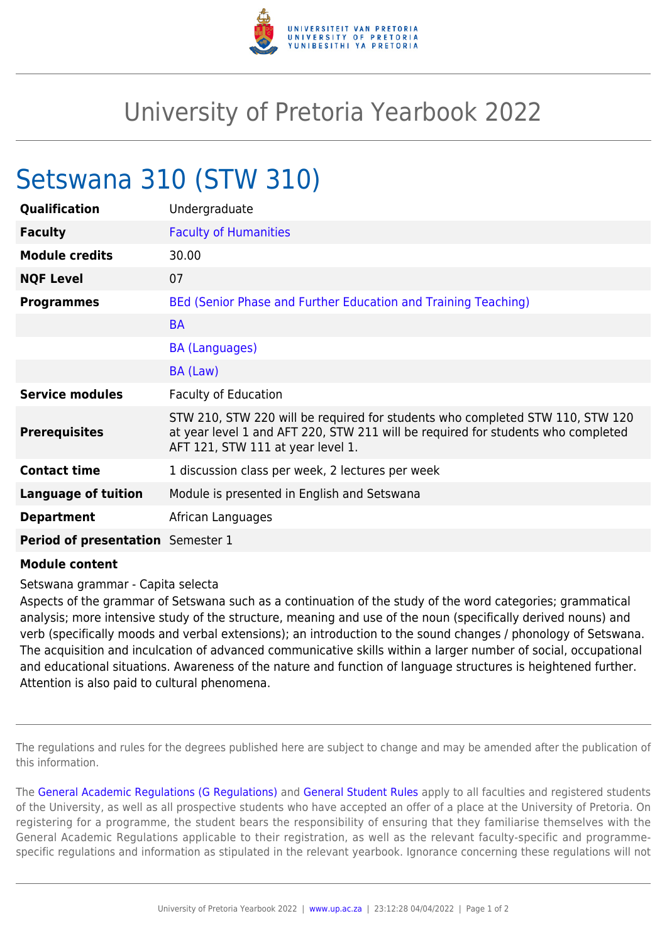

## University of Pretoria Yearbook 2022

## Setswana 310 (STW 310)

| Qualification                     | Undergraduate                                                                                                                                                                                          |
|-----------------------------------|--------------------------------------------------------------------------------------------------------------------------------------------------------------------------------------------------------|
| <b>Faculty</b>                    | <b>Faculty of Humanities</b>                                                                                                                                                                           |
| <b>Module credits</b>             | 30.00                                                                                                                                                                                                  |
| <b>NQF Level</b>                  | 07                                                                                                                                                                                                     |
| <b>Programmes</b>                 | BEd (Senior Phase and Further Education and Training Teaching)                                                                                                                                         |
|                                   | <b>BA</b>                                                                                                                                                                                              |
|                                   | <b>BA (Languages)</b>                                                                                                                                                                                  |
|                                   | BA (Law)                                                                                                                                                                                               |
| <b>Service modules</b>            | <b>Faculty of Education</b>                                                                                                                                                                            |
| <b>Prerequisites</b>              | STW 210, STW 220 will be required for students who completed STW 110, STW 120<br>at year level 1 and AFT 220, STW 211 will be required for students who completed<br>AFT 121, STW 111 at year level 1. |
| <b>Contact time</b>               | 1 discussion class per week, 2 lectures per week                                                                                                                                                       |
| <b>Language of tuition</b>        | Module is presented in English and Setswana                                                                                                                                                            |
| <b>Department</b>                 | African Languages                                                                                                                                                                                      |
| Period of presentation Semester 1 |                                                                                                                                                                                                        |
| .                                 |                                                                                                                                                                                                        |

## **Module content**

Setswana grammar - Capita selecta

Aspects of the grammar of Setswana such as a continuation of the study of the word categories; grammatical analysis; more intensive study of the structure, meaning and use of the noun (specifically derived nouns) and verb (specifically moods and verbal extensions); an introduction to the sound changes / phonology of Setswana. The acquisition and inculcation of advanced communicative skills within a larger number of social, occupational and educational situations. Awareness of the nature and function of language structures is heightened further. Attention is also paid to cultural phenomena.

The regulations and rules for the degrees published here are subject to change and may be amended after the publication of this information.

The [General Academic Regulations \(G Regulations\)](https://www.up.ac.za/yearbooks/2022/rules/view/REG) and [General Student Rules](https://www.up.ac.za/yearbooks/2022/rules/view/RUL) apply to all faculties and registered students of the University, as well as all prospective students who have accepted an offer of a place at the University of Pretoria. On registering for a programme, the student bears the responsibility of ensuring that they familiarise themselves with the General Academic Regulations applicable to their registration, as well as the relevant faculty-specific and programmespecific regulations and information as stipulated in the relevant yearbook. Ignorance concerning these regulations will not